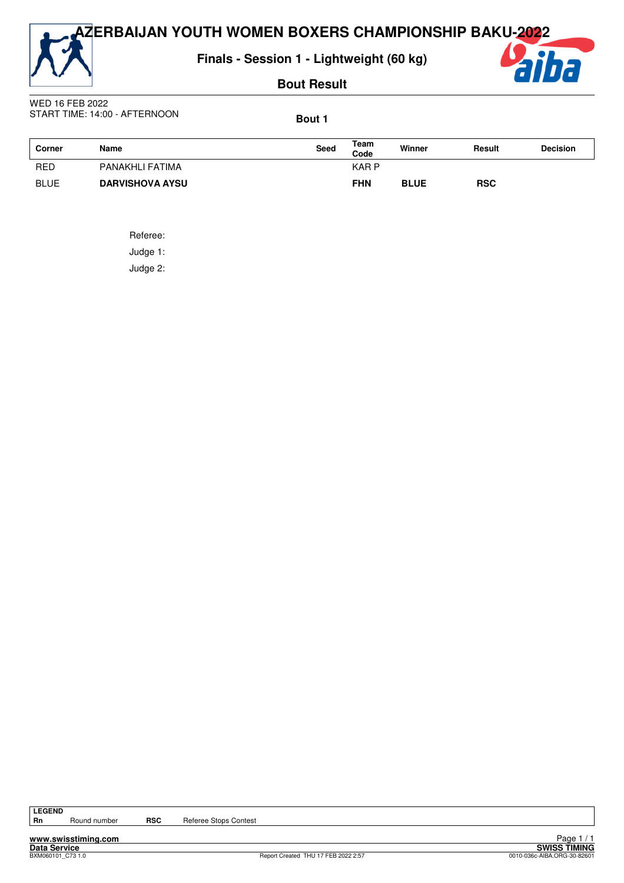**AZERBAIJAN YOUTH WOMEN BOXERS CHAMPIONSHIP BAKU-2022**



**Finals - Session 1 - Lightweight (60 kg)**

**Bout Result**



WED 16 FEB 2022 START TIME: 14:00 - AFTERNOON

**Bout 1**

| Corner      | <b>Name</b>            | Seed | Team<br>Code | Winner      | Result     | <b>Decision</b> |
|-------------|------------------------|------|--------------|-------------|------------|-----------------|
| <b>RED</b>  | PANAKHLI FATIMA        |      | <b>KARP</b>  |             |            |                 |
| <b>BLUE</b> | <b>DARVISHOVA AYSU</b> |      | <b>FHN</b>   | <b>BLUE</b> | <b>RSC</b> |                 |

Referee:

Judge 1:

Judge 2:

Round number **RSC** Referee Stops Contest

**www.swisstiming.com Data Service SWISS TIMING**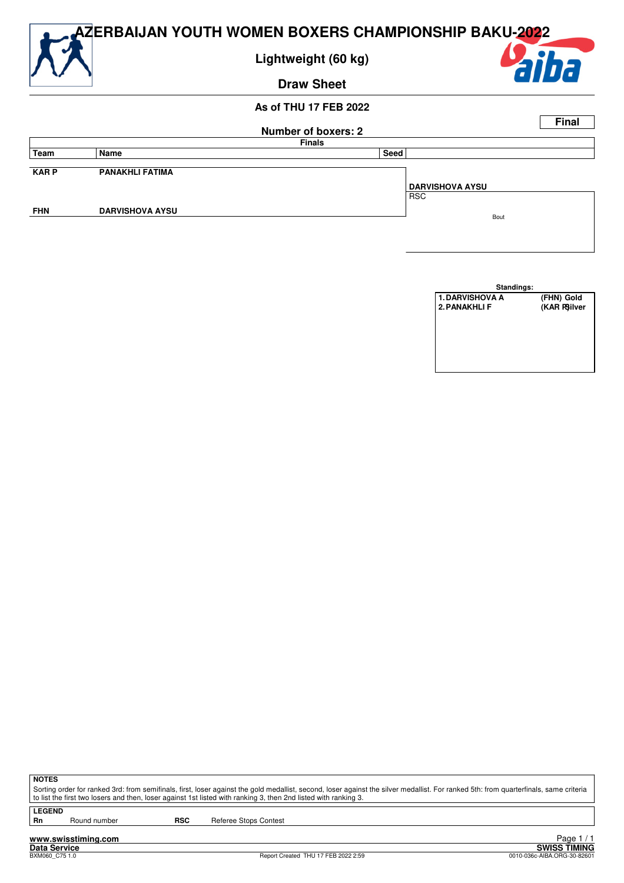

| Standings:             |              |  |  |  |  |  |  |
|------------------------|--------------|--|--|--|--|--|--|
| <b>1. DARVISHOVA A</b> | (FHN) Gold   |  |  |  |  |  |  |
| <b>2. PANAKHLI F</b>   | (KAR PSilver |  |  |  |  |  |  |
|                        |              |  |  |  |  |  |  |
|                        |              |  |  |  |  |  |  |
|                        |              |  |  |  |  |  |  |
|                        |              |  |  |  |  |  |  |
|                        |              |  |  |  |  |  |  |
|                        |              |  |  |  |  |  |  |

**NOTES**

Sorting order for ranked 3rd: from semifinals, first, loser against the gold medallist, second, loser against the silver medallist. For ranked 5th: from quarterfinals, same criteria to list the first two losers and then, loser against 1st listed with ranking 3, then 2nd listed with ranking 3.

**LEGEND**<br>Rn

Round number **RSC** Referee Stops Contest

**www.swisstiming.com**<br>Data Service<br>BXM060\_C75.1.0

Report Created THU 17 FEB 2022 2:59

External of the SWISS TIMING<br>
D010-036c-AIBA.ORG-30-82601 Page 1 / 1